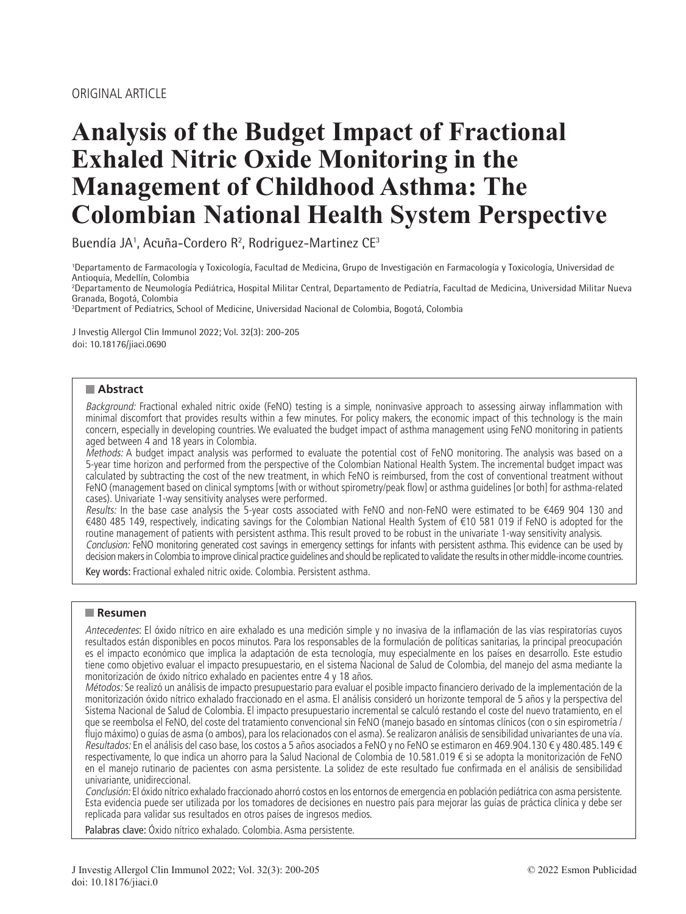# **Analysis of the Budget Impact of Fractional Exhaled Nitric Oxide Monitoring in the Management of Childhood Asthma: The Colombian National Health System Perspective**

Buendía JA<sup>1</sup>, Acuña-Cordero R<sup>2</sup>, Rodriguez-Martinez CE<sup>3</sup>

1 Departamento de Farmacología y Toxicología, Facultad de Medicina, Grupo de Investigación en Farmacología y Toxicología, Universidad de Antioquia, Medellín, Colombia

2 Departamento de Neumología Pediátrica, Hospital Militar Central, Departamento de Pediatría, Facultad de Medicina, Universidad Militar Nueva Granada, Bogotá, Colombia

3 Department of Pediatrics, School of Medicine, Universidad Nacional de Colombia, Bogotá, Colombia

J Investig Allergol Clin Immunol 2022; Vol. 32(3): 200-205 doi: 10.18176/jiaci.0690

## **Abstract**

Background: Fractional exhaled nitric oxide (FeNO) testing is a simple, noninvasive approach to assessing airway inflammation with minimal discomfort that provides results within a few minutes. For policy makers, the economic impact of this technology is the main concern, especially in developing countries. We evaluated the budget impact of asthma management using FeNO monitoring in patients aged between 4 and 18 years in Colombia.

Methods: A budget impact analysis was performed to evaluate the potential cost of FeNO monitoring. The analysis was based on a 5-year time horizon and performed from the perspective of the Colombian National Health System. The incremental budget impact was calculated by subtracting the cost of the new treatment, in which FeNO is reimbursed, from the cost of conventional treatment without FeNO (management based on clinical symptoms [with or without spirometry/peak flow] or asthma guidelines [or both] for asthma-related cases). Univariate 1-way sensitivity analyses were performed.

Results: In the base case analysis the 5-year costs associated with FeNO and non-FeNO were estimated to be €469 904 130 and €480 485 149, respectively, indicating savings for the Colombian National Health System of €10 581 019 if FeNO is adopted for the routine management of patients with persistent asthma. This result proved to be robust in the univariate 1-way sensitivity analysis. Conclusion: FeNO monitoring generated cost savings in emergency settings for infants with persistent asthma. This evidence can be used by decision makers in Colombia to improve clinical practice guidelines and should be replicated to validate the results in other middle-income countries.

Key words: Fractional exhaled nitric oxide. Colombia. Persistent asthma.

## **Resumen**

Antecedentes: El óxido nítrico en aire exhalado es una medición simple y no invasiva de la inflamación de las vías respiratorias cuyos resultados están disponibles en pocos minutos. Para los responsables de la formulación de políticas sanitarias, la principal preocupación es el impacto económico que implica la adaptación de esta tecnología, muy especialmente en los países en desarrollo. Este estudio tiene como objetivo evaluar el impacto presupuestario, en el sistema Nacional de Salud de Colombia, del manejo del asma mediante la monitorización de óxido nítrico exhalado en pacientes entre 4 y 18 años.

Métodos: Se realizó un análisis de impacto presupuestario para evaluar el posible impacto financiero derivado de la implementación de la monitorización óxido nítrico exhalado fraccionado en el asma. El análisis consideró un horizonte temporal de 5 años y la perspectiva del Sistema Nacional de Salud de Colombia. El impacto presupuestario incremental se calculó restando el coste del nuevo tratamiento, en el que se reembolsa el FeNO, del coste del tratamiento convencional sin FeNO (manejo basado en síntomas clínicos (con o sin espirometría / flujo máximo) o guías de asma (o ambos), para los relacionados con el asma). Se realizaron análisis de sensibilidad univariantes de una vía. Resultados: En el análisis del caso base, los costos a 5 años asociados a FeNO y no FeNO se estimaron en 469.904.130 € y 480.485.149 € respectivamente, lo que indica un ahorro para la Salud Nacional de Colombia de 10.581.019 € si se adopta la monitorización de FeNO en el manejo rutinario de pacientes con asma persistente. La solidez de este resultado fue confirmada en el análisis de sensibilidad univariante, unidireccional.

Conclusión: El óxido nítrico exhalado fraccionado ahorró costos en los entornos de emergencia en población pediátrica con asma persistente. Esta evidencia puede ser utilizada por los tomadores de decisiones en nuestro país para mejorar las guías de práctica clínica y debe ser replicada para validar sus resultados en otros países de ingresos medios.

Palabras clave: Óxido nítrico exhalado. Colombia. Asma persistente.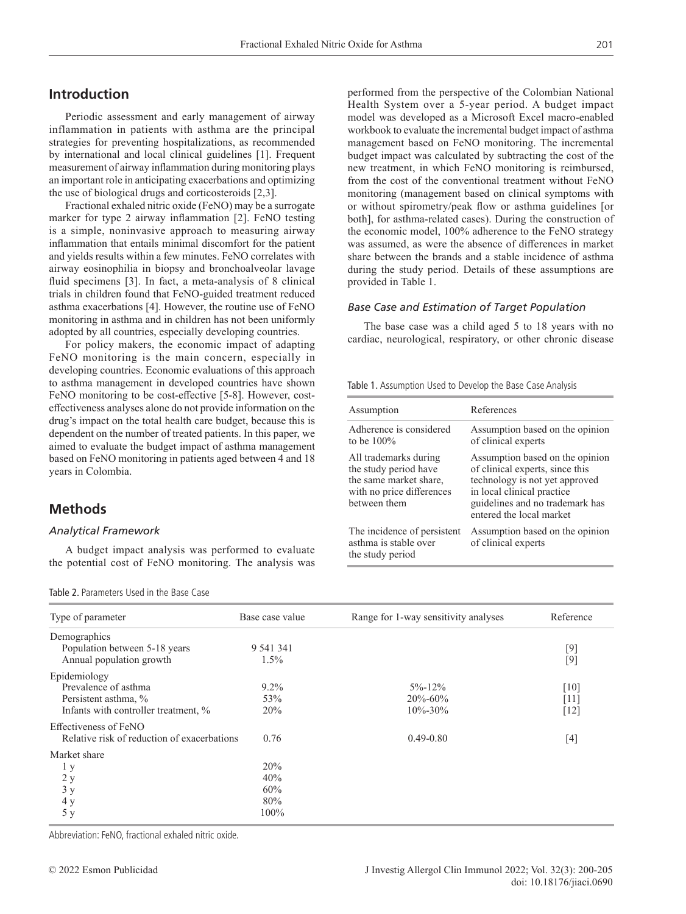# **Introduction**

Periodic assessment and early management of airway inflammation in patients with asthma are the principal strategies for preventing hospitalizations, as recommended by international and local clinical guidelines [1]. Frequent measurement of airway inflammation during monitoring plays an important role in anticipating exacerbations and optimizing the use of biological drugs and corticosteroids [2,3].

Fractional exhaled nitric oxide (FeNO) may be a surrogate marker for type 2 airway inflammation [2]. FeNO testing is a simple, noninvasive approach to measuring airway inflammation that entails minimal discomfort for the patient and yields results within a few minutes. FeNO correlates with airway eosinophilia in biopsy and bronchoalveolar lavage fluid specimens [3]. In fact, a meta-analysis of 8 clinical trials in children found that FeNO-guided treatment reduced asthma exacerbations [4]. However, the routine use of FeNO monitoring in asthma and in children has not been uniformly adopted by all countries, especially developing countries.

For policy makers, the economic impact of adapting FeNO monitoring is the main concern, especially in developing countries. Economic evaluations of this approach to asthma management in developed countries have shown FeNO monitoring to be cost-effective [5-8]. However, costeffectiveness analyses alone do not provide information on the drug's impact on the total health care budget, because this is dependent on the number of treated patients. In this paper, we aimed to evaluate the budget impact of asthma management based on FeNO monitoring in patients aged between 4 and 18 years in Colombia.

# **Methods**

#### *Analytical Framework*

A budget impact analysis was performed to evaluate the potential cost of FeNO monitoring. The analysis was

Table 2. Parameters Used in the Base Case

performed from the perspective of the Colombian National Health System over a 5-year period. A budget impact model was developed as a Microsoft Excel macro-enabled workbook to evaluate the incremental budget impact of asthma management based on FeNO monitoring. The incremental budget impact was calculated by subtracting the cost of the new treatment, in which FeNO monitoring is reimbursed, from the cost of the conventional treatment without FeNO monitoring (management based on clinical symptoms with or without spirometry/peak flow or asthma guidelines [or both], for asthma-related cases). During the construction of the economic model, 100% adherence to the FeNO strategy was assumed, as were the absence of differences in market share between the brands and a stable incidence of asthma during the study period. Details of these assumptions are provided in Table 1.

#### *Base Case and Estimation of Target Population*

The base case was a child aged 5 to 18 years with no cardiac, neurological, respiratory, or other chronic disease

Table 1. Assumption Used to Develop the Base Case Analysis

| Assumption                                                                                                            | References                                                                                                                                                                                        |
|-----------------------------------------------------------------------------------------------------------------------|---------------------------------------------------------------------------------------------------------------------------------------------------------------------------------------------------|
| Adherence is considered<br>to be $100\%$                                                                              | Assumption based on the opinion<br>of clinical experts                                                                                                                                            |
| All trademarks during<br>the study period have<br>the same market share,<br>with no price differences<br>between them | Assumption based on the opinion<br>of clinical experts, since this<br>technology is not yet approved<br>in local clinical practice<br>guidelines and no trademark has<br>entered the local market |
| The incidence of persistent<br>asthma is stable over<br>the study period                                              | Assumption based on the opinion<br>of clinical experts                                                                                                                                            |

| Type of parameter                           | Base case value | Range for 1-way sensitivity analyses | Reference |  |
|---------------------------------------------|-----------------|--------------------------------------|-----------|--|
| Demographics                                |                 |                                      |           |  |
| Population between 5-18 years               | 9 541 341       |                                      | $[9]$     |  |
| Annual population growth                    | 1.5%            |                                      | $[9]$     |  |
| Epidemiology                                |                 |                                      |           |  |
| Prevalence of asthma                        | $9.2\%$         | $5\% - 12\%$                         | [10]      |  |
| Persistent asthma, %                        | 53%             | $20\% - 60\%$                        | [11]      |  |
| Infants with controller treatment, %        | 20%             | $10\% - 30\%$                        | $[12]$    |  |
| Effectiveness of FeNO                       |                 |                                      |           |  |
| Relative risk of reduction of exacerbations | 0.76            | $0.49 - 0.80$                        | $[4]$     |  |
| Market share                                |                 |                                      |           |  |
| 1y                                          | 20%             |                                      |           |  |
| 2y                                          | 40%             |                                      |           |  |
| 3y                                          | 60%             |                                      |           |  |
| 4 y                                         | 80%             |                                      |           |  |
| 5у                                          | 100%            |                                      |           |  |

Abbreviation: FeNO, fractional exhaled nitric oxide.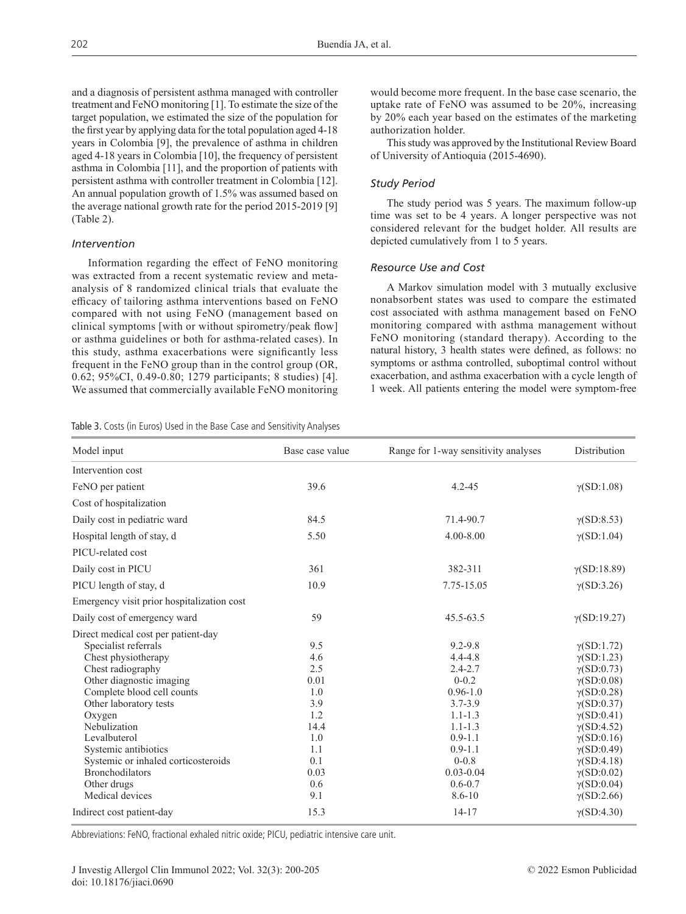and a diagnosis of persistent asthma managed with controller treatment and FeNO monitoring [1]. To estimate the size of the target population, we estimated the size of the population for the first year by applying data for the total population aged 4-18 years in Colombia [9], the prevalence of asthma in children aged 4-18 years in Colombia [10], the frequency of persistent asthma in Colombia [11], and the proportion of patients with persistent asthma with controller treatment in Colombia [12]. An annual population growth of 1.5% was assumed based on the average national growth rate for the period 2015-2019 [9] (Table 2).

#### *Intervention*

Information regarding the effect of FeNO monitoring was extracted from a recent systematic review and metaanalysis of 8 randomized clinical trials that evaluate the efficacy of tailoring asthma interventions based on FeNO compared with not using FeNO (management based on clinical symptoms [with or without spirometry/peak flow] or asthma guidelines or both for asthma-related cases). In this study, asthma exacerbations were significantly less frequent in the FeNO group than in the control group (OR, 0.62; 95%CI, 0.49-0.80; 1279 participants; 8 studies) [4]. We assumed that commercially available FeNO monitoring uptake rate of FeNO was assumed to be 20%, increasing by 20% each year based on the estimates of the marketing authorization holder. This study was approved by the Institutional Review Board

would become more frequent. In the base case scenario, the

of University of Antioquia (2015-4690).

#### *Study Period*

The study period was 5 years. The maximum follow-up time was set to be 4 years. A longer perspective was not considered relevant for the budget holder. All results are depicted cumulatively from 1 to 5 years.

### *Resource Use and Cost*

A Markov simulation model with 3 mutually exclusive nonabsorbent states was used to compare the estimated cost associated with asthma management based on FeNO monitoring compared with asthma management without FeNO monitoring (standard therapy). According to the natural history, 3 health states were defined, as follows: no symptoms or asthma controlled, suboptimal control without exacerbation, and asthma exacerbation with a cycle length of 1 week. All patients entering the model were symptom-free

Table 3. Costs (in Euros) Used in the Base Case and Sensitivity Analyses

| Model input                                | Base case value | Range for 1-way sensitivity analyses | <b>Distribution</b> |  |  |  |  |
|--------------------------------------------|-----------------|--------------------------------------|---------------------|--|--|--|--|
| Intervention cost                          |                 |                                      |                     |  |  |  |  |
| FeNO per patient                           | 39.6            | $4.2 - 45$                           | $\gamma(SD:1.08)$   |  |  |  |  |
| Cost of hospitalization                    |                 |                                      |                     |  |  |  |  |
| Daily cost in pediatric ward               | 84.5            | 71.4-90.7                            | $\gamma(SD:8.53)$   |  |  |  |  |
| Hospital length of stay, d                 | 5.50            | $4.00 - 8.00$                        | $\gamma(SD:1.04)$   |  |  |  |  |
| PICU-related cost                          |                 |                                      |                     |  |  |  |  |
| Daily cost in PICU                         | 361             | 382-311                              | $\gamma(SD:18.89)$  |  |  |  |  |
| PICU length of stay, d                     | 10.9            | 7.75-15.05                           | $\gamma(SD:3.26)$   |  |  |  |  |
| Emergency visit prior hospitalization cost |                 |                                      |                     |  |  |  |  |
| Daily cost of emergency ward               | 59              | 45.5-63.5                            | $\gamma(SD:19.27)$  |  |  |  |  |
| Direct medical cost per patient-day        |                 |                                      |                     |  |  |  |  |
| Specialist referrals                       | 9.5             | $9.2 - 9.8$                          | $\gamma(SD:1.72)$   |  |  |  |  |
| Chest physiotherapy                        | 4.6             | $4.4 - 4.8$                          | $\gamma(SD:1.23)$   |  |  |  |  |
| Chest radiography                          | 2.5             | $2.4 - 2.7$                          | $\gamma(SD:0.73)$   |  |  |  |  |
| Other diagnostic imaging                   | 0.01            | $0 - 0.2$                            | $\gamma(SD:0.08)$   |  |  |  |  |
| Complete blood cell counts                 | 1.0             | $0.96 - 1.0$                         | $\gamma(SD:0.28)$   |  |  |  |  |
| Other laboratory tests                     | 3.9             | $3.7 - 3.9$                          | $\gamma(SD:0.37)$   |  |  |  |  |
| Oxygen                                     | 1.2             | $1.1 - 1.3$                          | $\gamma(SD:0.41)$   |  |  |  |  |
| Nebulization                               | 14.4            | $1.1 - 1.3$                          | $\gamma(SD:4.52)$   |  |  |  |  |
| Levalbuterol                               | 1.0             | $0.9 - 1.1$                          | $\gamma(SD:0.16)$   |  |  |  |  |
| Systemic antibiotics                       | 1.1             | $0.9 - 1.1$                          | $\gamma(SD:0.49)$   |  |  |  |  |
| Systemic or inhaled corticosteroids        | 0.1             | $0 - 0.8$                            | $\gamma(SD:4.18)$   |  |  |  |  |
| <b>Bronchodilators</b>                     | 0.03            | $0.03 - 0.04$                        | $\gamma(SD:0.02)$   |  |  |  |  |
| Other drugs                                | 0.6             | $0.6 - 0.7$                          | $\gamma(SD:0.04)$   |  |  |  |  |
| Medical devices                            | 9.1             | $8.6 - 10$                           | $\gamma(SD:2.66)$   |  |  |  |  |
| Indirect cost patient-day                  | 15.3            | $14 - 17$                            | $\gamma(SD:4.30)$   |  |  |  |  |

Abbreviations: FeNO, fractional exhaled nitric oxide; PICU, pediatric intensive care unit.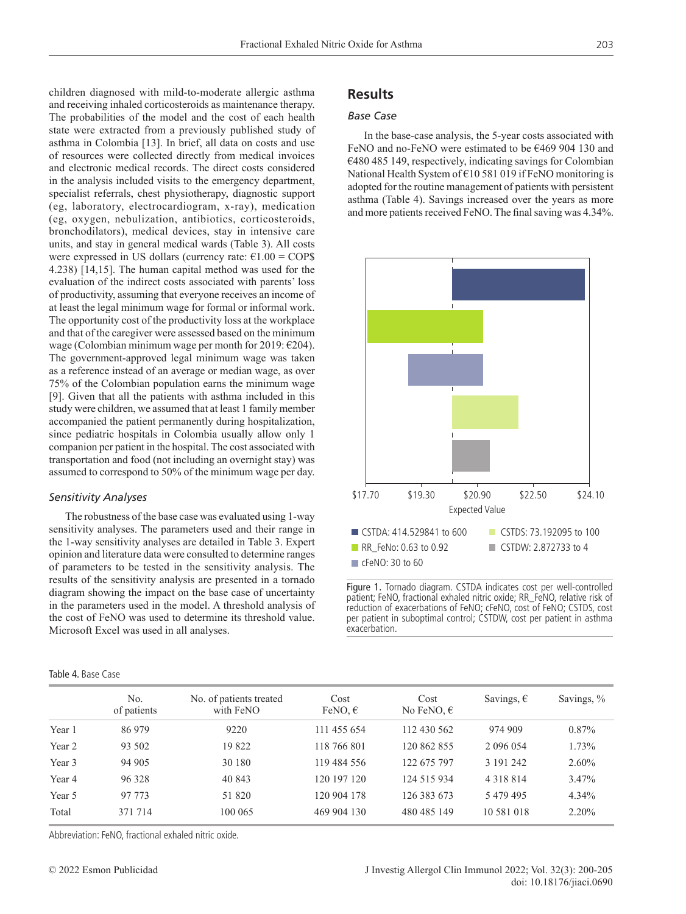children diagnosed with mild-to-moderate allergic asthma and receiving inhaled corticosteroids as maintenance therapy. The probabilities of the model and the cost of each health state were extracted from a previously published study of asthma in Colombia [13]. In brief, all data on costs and use of resources were collected directly from medical invoices and electronic medical records. The direct costs considered in the analysis included visits to the emergency department, specialist referrals, chest physiotherapy, diagnostic support (eg, laboratory, electrocardiogram, x-ray), medication (eg, oxygen, nebulization, antibiotics, corticosteroids, bronchodilators), medical devices, stay in intensive care units, and stay in general medical wards (Table 3). All costs were expressed in US dollars (currency rate:  $\epsilon$ 1.00 = COP\$ 4.238) [14,15]. The human capital method was used for the evaluation of the indirect costs associated with parents' loss of productivity, assuming that everyone receives an income of at least the legal minimum wage for formal or informal work. The opportunity cost of the productivity loss at the workplace and that of the caregiver were assessed based on the minimum wage (Colombian minimum wage per month for 2019:  $\epsilon$ 204). The government-approved legal minimum wage was taken as a reference instead of an average or median wage, as over 75% of the Colombian population earns the minimum wage [9]. Given that all the patients with asthma included in this study were children, we assumed that at least 1 family member accompanied the patient permanently during hospitalization, since pediatric hospitals in Colombia usually allow only 1 companion per patient in the hospital. The cost associated with transportation and food (not including an overnight stay) was assumed to correspond to 50% of the minimum wage per day.

## *Sensitivity Analyses*

The robustness of the base case was evaluated using 1-way sensitivity analyses. The parameters used and their range in the 1-way sensitivity analyses are detailed in Table 3. Expert opinion and literature data were consulted to determine ranges of parameters to be tested in the sensitivity analysis. The results of the sensitivity analysis are presented in a tornado diagram showing the impact on the base case of uncertainty in the parameters used in the model. A threshold analysis of the cost of FeNO was used to determine its threshold value. Microsoft Excel was used in all analyses.

#### Table 4. Base Case

# **Results**

## *Base Case*

In the base-case analysis, the 5-year costs associated with FeNO and no-FeNO were estimated to be €469 904 130 and €480 485 149, respectively, indicating savings for Colombian National Health System of €10 581 019 if FeNO monitoring is adopted for the routine management of patients with persistent asthma (Table 4). Savings increased over the years as more and more patients received FeNO. The final saving was 4.34%.



Figure 1. Tornado diagram. CSTDA indicates cost per well-controlled patient; FeNO, fractional exhaled nitric oxide; RR\_FeNO, relative risk of reduction of exacerbations of FeNO; cFeNO, cost of FeNO; CSTDS, cost per patient in suboptimal control; CSTDW, cost per patient in asthma exacerbation.

|        | No.<br>of patients | No. of patients treated<br>with FeNO | Cost<br>FeNO, $\epsilon$ | Cost<br>No FeNO, $\epsilon$ | Savings, $\epsilon$ | Savings, % |
|--------|--------------------|--------------------------------------|--------------------------|-----------------------------|---------------------|------------|
| Year 1 | 86 979             | 9220                                 | 111 455 654              | 112 430 562                 | 974 909             | $0.87\%$   |
| Year 2 | 93 502             | 19822                                | 118 766 801              | 120 862 855                 | 2 0 9 6 0 5 4       | 1.73%      |
| Year 3 | 94 905             | 30 180                               | 119 484 556              | 122 675 797                 | 3 191 242           | $2.60\%$   |
| Year 4 | 96 328             | 40 843                               | 120 197 120              | 124 515 934                 | 4 3 1 8 8 1 4       | 3.47%      |
| Year 5 | 97 773             | 51 820                               | 120 904 178              | 126 383 673                 | 5479495             | 4.34%      |
| Total  | 371 714            | 100 065                              | 469 904 130              | 480 485 149                 | 10 581 018          | 2.20%      |

Abbreviation: FeNO, fractional exhaled nitric oxide.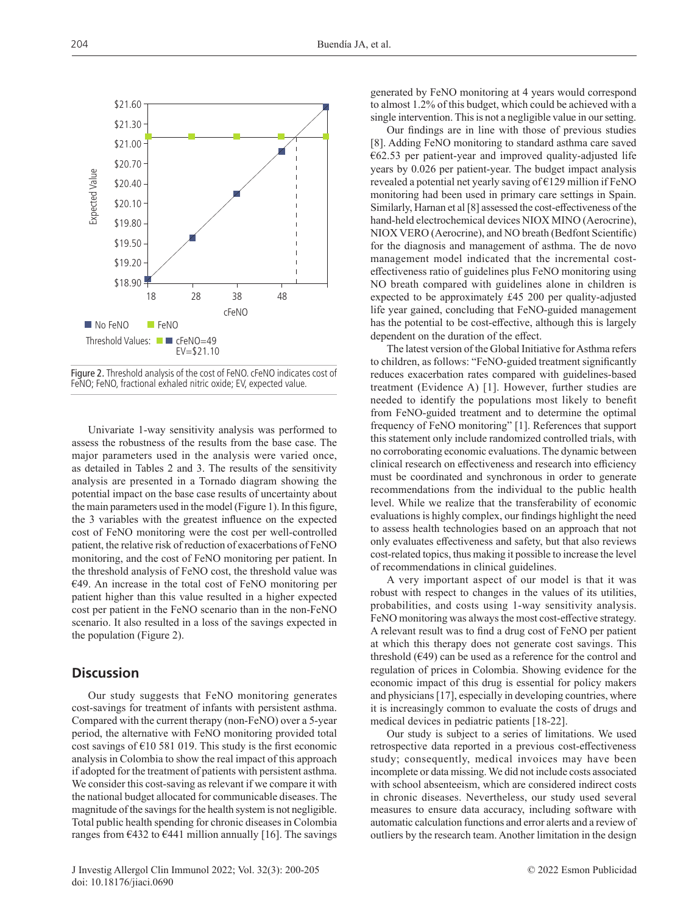

Figure 2. Threshold analysis of the cost of FeNO. cFeNO indicates cost of FeNO; FeNO, fractional exhaled nitric oxide; EV, expected value.

Univariate 1-way sensitivity analysis was performed to assess the robustness of the results from the base case. The major parameters used in the analysis were varied once, as detailed in Tables 2 and 3. The results of the sensitivity analysis are presented in a Tornado diagram showing the potential impact on the base case results of uncertainty about the main parameters used in the model (Figure 1). In this figure, the 3 variables with the greatest influence on the expected cost of FeNO monitoring were the cost per well-controlled patient, the relative risk of reduction of exacerbations of FeNO monitoring, and the cost of FeNO monitoring per patient. In the threshold analysis of FeNO cost, the threshold value was €49. An increase in the total cost of FeNO monitoring per patient higher than this value resulted in a higher expected cost per patient in the FeNO scenario than in the non-FeNO scenario. It also resulted in a loss of the savings expected in the population (Figure 2).

# **Discussion**

Our study suggests that FeNO monitoring generates cost-savings for treatment of infants with persistent asthma. Compared with the current therapy (non-FeNO) over a 5-year period, the alternative with FeNO monitoring provided total cost savings of  $\epsilon$ 10 581 019. This study is the first economic analysis in Colombia to show the real impact of this approach if adopted for the treatment of patients with persistent asthma. We consider this cost-saving as relevant if we compare it with the national budget allocated for communicable diseases. The magnitude of the savings for the health system is not negligible. Total public health spending for chronic diseases in Colombia ranges from  $\epsilon$ 432 to  $\epsilon$ 441 million annually [16]. The savings

generated by FeNO monitoring at 4 years would correspond to almost 1.2% of this budget, which could be achieved with a single intervention. This is not a negligible value in our setting.

Our findings are in line with those of previous studies [8]. Adding FeNO monitoring to standard asthma care saved €62.53 per patient-year and improved quality-adjusted life years by 0.026 per patient-year. The budget impact analysis revealed a potential net yearly saving of €129 million if FeNO monitoring had been used in primary care settings in Spain. Similarly, Harnan et al [8] assessed the cost-effectiveness of the hand-held electrochemical devices NIOX MINO (Aerocrine), NIOX VERO (Aerocrine), and NO breath (Bedfont Scientific) for the diagnosis and management of asthma. The de novo management model indicated that the incremental costeffectiveness ratio of guidelines plus FeNO monitoring using NO breath compared with guidelines alone in children is expected to be approximately £45 200 per quality-adjusted life year gained, concluding that FeNO-guided management has the potential to be cost-effective, although this is largely dependent on the duration of the effect.

The latest version of the Global Initiative for Asthma refers to children, as follows: "FeNO-guided treatment significantly reduces exacerbation rates compared with guidelines-based treatment (Evidence A) [1]. However, further studies are needed to identify the populations most likely to benefit from FeNO-guided treatment and to determine the optimal frequency of FeNO monitoring" [1]. References that support this statement only include randomized controlled trials, with no corroborating economic evaluations. The dynamic between clinical research on effectiveness and research into efficiency must be coordinated and synchronous in order to generate recommendations from the individual to the public health level. While we realize that the transferability of economic evaluations is highly complex, our findings highlight the need to assess health technologies based on an approach that not only evaluates effectiveness and safety, but that also reviews cost-related topics, thus making it possible to increase the level of recommendations in clinical guidelines.

A very important aspect of our model is that it was robust with respect to changes in the values of its utilities, probabilities, and costs using 1-way sensitivity analysis. FeNO monitoring was always the most cost-effective strategy. A relevant result was to find a drug cost of FeNO per patient at which this therapy does not generate cost savings. This threshold  $(649)$  can be used as a reference for the control and regulation of prices in Colombia. Showing evidence for the economic impact of this drug is essential for policy makers and physicians [17], especially in developing countries, where it is increasingly common to evaluate the costs of drugs and medical devices in pediatric patients [18-22].

Our study is subject to a series of limitations. We used retrospective data reported in a previous cost-effectiveness study; consequently, medical invoices may have been incomplete or data missing. We did not include costs associated with school absenteeism, which are considered indirect costs in chronic diseases. Nevertheless, our study used several measures to ensure data accuracy, including software with automatic calculation functions and error alerts and a review of outliers by the research team. Another limitation in the design